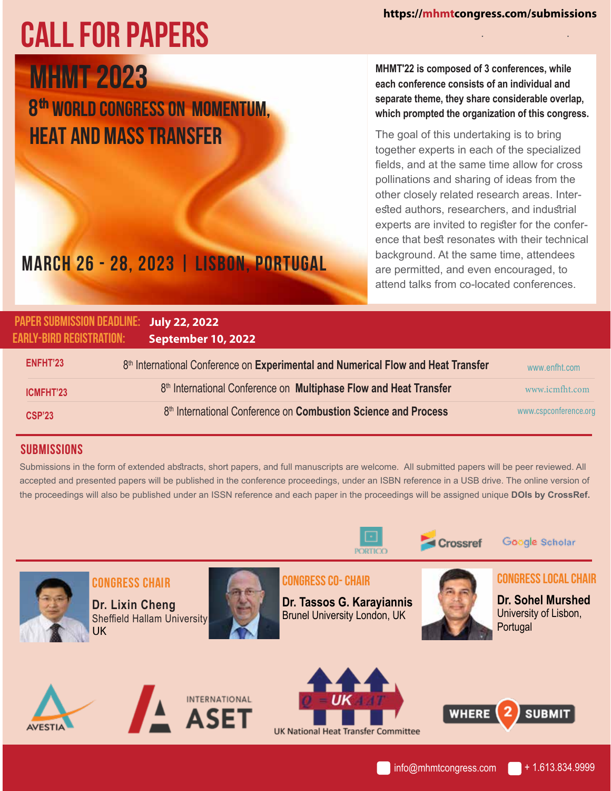# . . **CALL FOR PAPERS**

**o Heat and Mass Transfer MHMT 2023 8th World Congress on Momentum,**  **MHMT'22 is composed of 3 conferences, while each conference consists of an individual and separate theme, they share considerable overlap, which prompted the organization of this congress.** 

The goal of this undertaking is to bring together experts in each of the specialized fields, and at the same time allow for cross pollinations and sharing of ideas from the other closely related research areas. Interested authors, researchers, and industrial experts are invited to register for the conference that best resonates with their technical background. At the same time, attendees are permitted, and even encouraged, to attend talks from co-located conferences.

# **March 26 - 28, 2023 | Lisbon, Portugal**

| <b>PAPER SUBMISSION DEADLINE:</b><br>EARLY-BIRD REGISTRATION: | July 22, 2022<br>September 10, 2022                                               |                       |
|---------------------------------------------------------------|-----------------------------------------------------------------------------------|-----------------------|
| ENFHT'23                                                      | 8th International Conference on Experimental and Numerical Flow and Heat Transfer | www.enfht.com         |
| ICMFHT'23                                                     | 8th International Conference on Multiphase Flow and Heat Transfer                 | www.icmfht.com        |
| <b>CSP'23</b>                                                 | 8 <sup>th</sup> International Conference on <b>Combustion Science and Process</b> | www.cspconference.org |

#### **Dr. Yanping Du,** Shanghai Jiao Tong University, China **SUBMISSIONS Dr. Khoo Boo Cheong,** National University of Singapore, Singapore

Submissions in the form of extended abstracts, short papers, and full manuscripts are welcome. All submitted papers will be peer reviewed. All accepted and presented papers will be published in the conference proceedings, under an ISBN reference in a USB drive. The online version of the proceedings will also be published under an ISSN reference and each paper in the proceedings will be assigned unique **DOIs by CrossRef. Dr. Pamela M. Norris,** University of Virginia, USA



Crossref

**Dr. Dana Grecov,** University of British Columbia, Canada

Google Scholar



 **Dr. Selva Çavus,** Istanbul University, Turkey

**Dr.** Sheffield Hallam University **Congress Chair Dr. Lixin Cheng** UK

**Dr. Marcelo Buffoni** ABB Switzerland Ltd. Corporate Research, Switze **,** rland



**CONGRESS CO- CHAIR CONGRESS** CO- CHAIR

**Dr. Tassos G. Karayiannis Constant Dr. Sohel Brunel University London, UK** 





**Dr. Sohel Murshed** University of Lisbon,